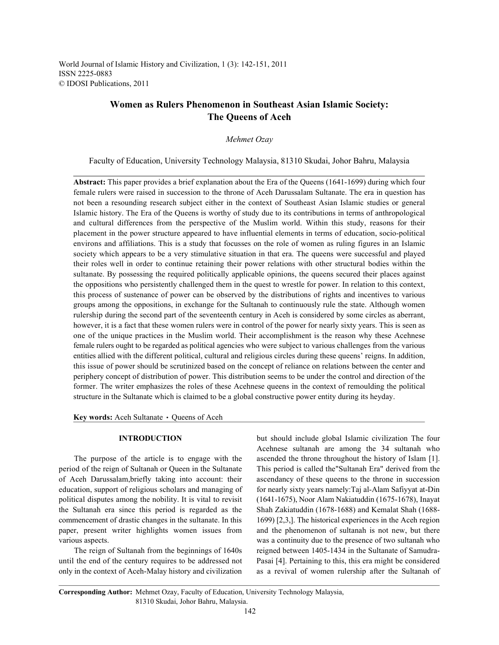World Journal of Islamic History and Civilization, 1 (3): 142-151, 2011 ISSN 2225-0883 © IDOSI Publications, 2011

# **Women as Rulers Phenomenon in Southeast Asian Islamic Society: The Queens of Aceh**

## *Mehmet Ozay*

Faculty of Education, University Technology Malaysia, 81310 Skudai, Johor Bahru, Malaysia

**Abstract:** This paper provides a brief explanation about the Era of the Queens (1641-1699) during which four female rulers were raised in succession to the throne of Aceh Darussalam Sultanate. The era in question has not been a resounding research subject either in the context of Southeast Asian Islamic studies or general Islamic history. The Era of the Queens is worthy of study due to its contributions in terms of anthropological and cultural differences from the perspective of the Muslim world. Within this study, reasons for their placement in the power structure appeared to have influential elements in terms of education, socio-political environs and affiliations. This is a study that focusses on the role of women as ruling figures in an Islamic society which appears to be a very stimulative situation in that era. The queens were successful and played their roles well in order to continue retaining their power relations with other structural bodies within the sultanate. By possessing the required politically applicable opinions, the queens secured their places against the oppositions who persistently challenged them in the quest to wrestle for power. In relation to this context, this process of sustenance of power can be observed by the distributions of rights and incentives to various groups among the oppositions, in exchange for the Sultanah to continuously rule the state. Although women rulership during the second part of the seventeenth century in Aceh is considered by some circles as aberrant, however, it is a fact that these women rulers were in control of the power for nearly sixty years. This is seen as one of the unique practices in the Muslim world. Their accomplishment is the reason why these Acehnese female rulers ought to be regarded as political agencies who were subject to various challenges from the various entities allied with the different political, cultural and religious circles during these queens' reigns. In addition, this issue of power should be scrutinized based on the concept of reliance on relations between the center and periphery concept of distribution of power. This distribution seems to be under the control and direction of the former. The writer emphasizes the roles of these Acehnese queens in the context of remoulding the political structure in the Sultanate which is claimed to be a global constructive power entity during its heyday.

Key words: Aceh Sultanate · Queens of Aceh

period of the reign of Sultanah or Queen in the Sultanate This period is called the"Sultanah Era" derived from the of Aceh Darussalam,briefly taking into account: their ascendancy of these queens to the throne in succession education, support of religious scholars and managing of for nearly sixty years namely:Taj al-Alam Safiyyat at-Din political disputes among the nobility. It is vital to revisit (1641-1675), Noor Alam Nakiatuddin (1675-1678), Inayat the Sultanah era since this period is regarded as the Shah Zakiatuddin (1678-1688) and Kemalat Shah (1688 commencement of drastic changes in the sultanate. In this 1699) [2,3,]. The historical experiences in the Aceh region paper, present writer highlights women issues from and the phenomenon of sultanah is not new, but there various aspects. was a continuity due to the presence of two sultanah who

until the end of the century requires to be addressed not Pasai [4]. Pertaining to this, this era might be considered only in the context of Aceh-Malay history and civilization as a revival of women rulership after the Sultanah of

**INTRODUCTION** but should include global Islamic civilization The four The purpose of the article is to engage with the ascended the throne throughout the history of Islam [1]. The reign of Sultanah from the beginnings of 1640s reigned between 1405-1434 in the Sultanate of Samudra-Acehnese sultanah are among the 34 sultanah who

**Corresponding Author:** Mehmet Ozay, Faculty of Education, University Technology Malaysia, 81310 Skudai, Johor Bahru, Malaysia.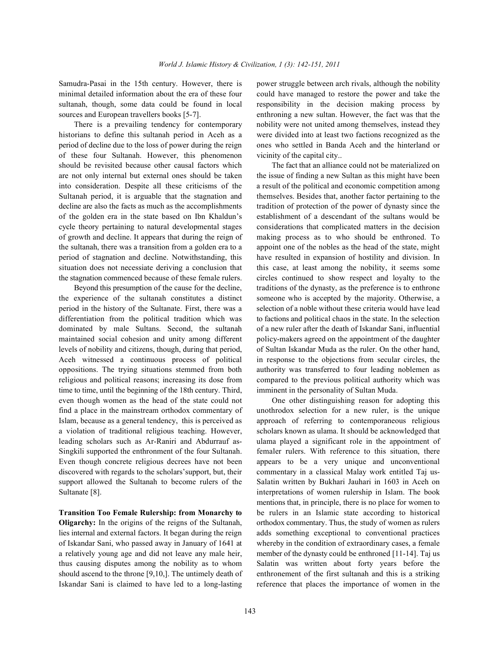historians to define this sultanah period in Aceh as a were divided into at least two factions recognized as the period of decline due to the loss of power during the reign ones who settled in Banda Aceh and the hinterland or of these four Sultanah. However, this phenomenon vicinity of the capital city.. should be revisited because other causal factors which The fact that an alliance could not be materialized on are not only internal but external ones should be taken the issue of finding a new Sultan as this might have been into consideration. Despite all these criticisms of the a result of the political and economic competition among Sultanah period, it is arguable that the stagnation and themselves. Besides that, another factor pertaining to the decline are also the facts as much as the accomplishments tradition of protection of the power of dynasty since the of the golden era in the state based on Ibn Khaldun's establishment of a descendant of the sultans would be cycle theory pertaining to natural developmental stages considerations that complicated matters in the decision of growth and decline. It appears that during the reign of making process as to who should be enthroned. To the sultanah, there was a transition from a golden era to a appoint one of the nobles as the head of the state, might period of stagnation and decline. Notwithstanding, this have resulted in expansion of hostility and division. In situation does not necessiate deriving a conclusion that this case, at least among the nobility, it seems some the stagnation commenced because of these female rulers. circles continued to show respect and loyalty to the

the experience of the sultanah constitutes a distinct someone who is accepted by the majority. Otherwise, a period in the history of the Sultanate. First, there was a selection of a noble without these criteria would have lead differentiation from the political tradition which was to factions and political chaos in the state. In the selection dominated by male Sultans. Second, the sultanah of a new ruler after the death of Iskandar Sani, influential maintained social cohesion and unity among different policy-makers agreed on the appointment of the daughter levels of nobility and citizens, though, during that period, of Sultan Iskandar Muda as the ruler. On the other hand, Aceh witnessed a continuous process of political in response to the objections from secular circles, the oppositions. The trying situations stemmed from both authority was transferred to four leading noblemen as religious and political reasons; increasing its dose from compared to the previous political authority which was time to time, until the beginning of the 18th century. Third, imminent in the personality of Sultan Muda. even though women as the head of the state could not One other distinguishing reason for adopting this find a place in the mainstream orthodox commentary of unothrodox selection for a new ruler, is the unique Islam, because as a general tendency, this is perceived as approach of referring to contemporaneous religious a violation of traditional religious teaching. However, scholars known as ulama. It should be acknowledged that leading scholars such as Ar-Raniri and Abdurrauf as- ulama played a significant role in the appointment of Singkili supported the enthronment of the four Sultanah. femaler rulers. With reference to this situation, there Even though concrete religious decrees have not been appears to be a very unique and unconventional discovered with regards to the scholars' support, but, their commentary in a classical Malay work entitled Taj ussupport allowed the Sultanah to become rulers of the Salatin written by Bukhari Jauhari in 1603 in Aceh on Sultanate [8]. Sultanate [8]. interpretations of women rulership in Islam. The book

**Oligarchy:** In the origins of the reigns of the Sultanah, orthodox commentary. Thus, the study of women as rulers lies internal and external factors. It began during the reign adds something exceptional to conventional practices of Iskandar Sani, who passed away in January of 1641 at whereby in the condition of extraordinary cases, a female

Samudra-Pasai in the 15th century. However, there is power struggle between arch rivals, although the nobility minimal detailed information about the era of these four could have managed to restore the power and take the sultanah, though, some data could be found in local responsibility in the decision making process by sources and European travellers books [5-7]. enthroning a new sultan. However, the fact was that the There is a prevailing tendency for contemporary nobility were not united among themselves, instead they

Beyond this presumption of the cause for the decline, traditions of the dynasty, as the preference is to enthrone

**Transition Too Female Rulership: from Monarchy to** be rulers in an Islamic state according to historical a relatively young age and did not leave any male heir, member of the dynasty could be enthroned [11-14]. Taj us thus causing disputes among the nobility as to whom Salatin was written about forty years before the should ascend to the throne  $[9,10]$ . The untimely death of enthronement of the first sultanah and this is a striking Iskandar Sani is claimed to have led to a long-lasting reference that places the importance of women in the mentions that, in principle, there is no place for women to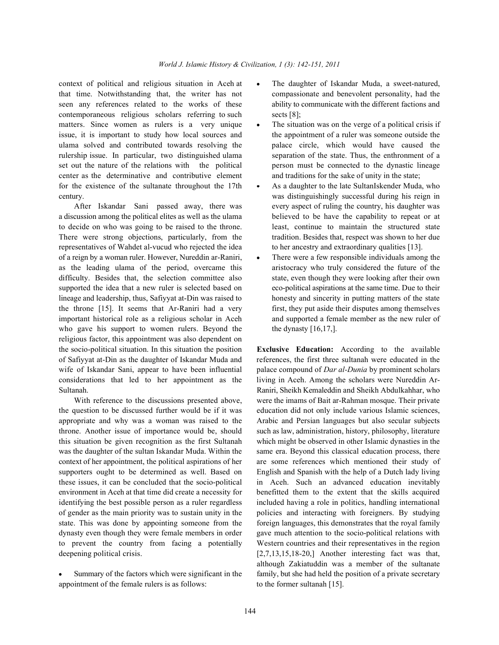context of political and religious situation in Aceh at • The daughter of Iskandar Muda, a sweet-natured, that time. Notwithstanding that, the writer has not compassionate and benevolent personality, had the seen any references related to the works of these ability to communicate with the different factions and contemporaneous religious scholars referring to such sects [8]; matters. Since women as rulers is a very unique • The situation was on the verge of a political crisis if issue, it is important to study how local sources and the appointment of a ruler was someone outside the ulama solved and contributed towards resolving the palace circle, which would have caused the rulership issue. In particular, two distinguished ulama separation of the state. Thus, the enthronment of a set out the nature of the relations with the political person must be connected to the dynastic lineage center as the determinative and contributive element and traditions for the sake of unity in the state; for the existence of the sultanate throughout the  $17th \cdot A$ s a daughter to the late SultanIskender Muda, who century. was distinguishingly successful during his reign in

a discussion among the political elites as well as the ulama believed to be have the capability to repeat or at to decide on who was going to be raised to the throne. least, continue to maintain the structured state There were strong objections, particularly, from the tradition. Besides that, respect was shown to her due representatives of Wahdet al-vucud who rejected the idea to her ancestry and extraordinary qualities [13]. of a reign by a woman ruler. However, Nureddin ar-Raniri,  $\cdot$  There were a few responsible individuals among the as the leading ulama of the period, overcame this aristocracy who truly considered the future of the difficulty. Besides that, the selection committee also state, even though they were looking after their own supported the idea that a new ruler is selected based on eco-political aspirations at the same time. Due to their lineage and leadership, thus, Safiyyat at-Din was raised to honesty and sincerity in putting matters of the state the throne [15]. It seems that Ar-Raniri had a very first, they put aside their disputes among themselves important historical role as a religious scholar in Aceh and supported a female member as the new ruler of who gave his support to women rulers. Beyond the the dynasty  $[16,17,]$ . religious factor, this appointment was also dependent on the socio-political situation. In this situation the position **Exclusive Education:** According to the available of Safiyyat at-Din as the daughter of Iskandar Muda and references, the first three sultanah were educated in the wife of Iskandar Sani, appear to have been influential palace compound of *Dar al-Dunia* by prominent scholars considerations that led to her appointment as the living in Aceh. Among the scholars were Nureddin Ar-

the question to be discussed further would be if it was education did not only include various Islamic sciences, appropriate and why was a woman was raised to the Arabic and Persian languages but also secular subjects throne. Another issue of importance would be, should such as law, administration, history, philosophy, literature this situation be given recognition as the first Sultanah which might be observed in other Islamic dynasties in the was the daughter of the sultan Iskandar Muda. Within the same era. Beyond this classical education process, there context of her appointment, the political aspirations of her are some references which mentioned their study of supporters ought to be determined as well. Based on English and Spanish with the help of a Dutch lady living these issues, it can be concluded that the socio-political in Aceh. Such an advanced education inevitably environment in Aceh at that time did create a necessity for benefitted them to the extent that the skills acquired identifying the best possible person as a ruler regardless included having a role in politics, handling international of gender as the main priority was to sustain unity in the policies and interacting with foreigners. By studying state. This was done by appointing someone from the foreign languages, this demonstrates that the royal family dynasty even though they were female members in order gave much attention to the socio-political relations with to prevent the country from facing a potentially Western countries and their representatives in the region deepening political crisis. [2,7,13,15,18-20,] Another interesting fact was that,

appointment of the female rulers is as follows: to the former sultanah [15].

- 
- 
- After Iskandar Sani passed away, there was every aspect of ruling the country, his daughter was
	-

Sultanah. Raniri, Sheikh Kemaleddin and Sheikh Abdulkahhar, who With reference to the discussions presented above, were the imams of Bait ar-Rahman mosque. Their private Summary of the factors which were significant in the family, but she had held the position of a private secretary although Zakiatuddin was a member of the sultanate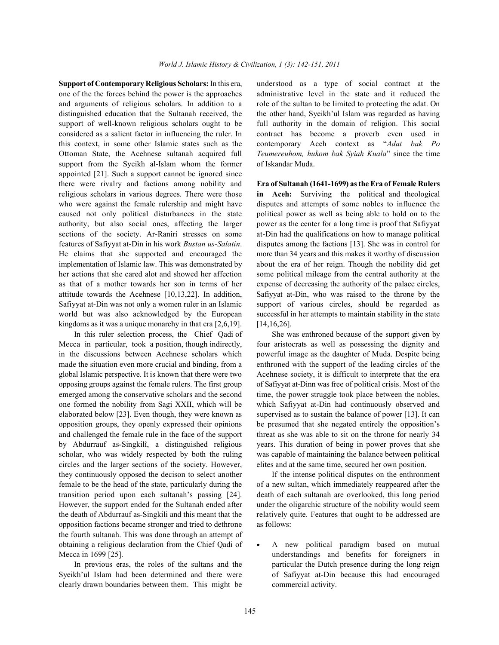one of the the forces behind the power is the approaches administrative level in the state and it reduced the and arguments of religious scholars. In addition to a role of the sultan to be limited to protecting the adat. On distinguished education that the Sultanah received, the the other hand, Syeikh'ul Islam was regarded as having support of well-known religious scholars ought to be full authority in the domain of religion. This social considered as a salient factor in influencing the ruler. In contract has become a proverb even used in this context, in some other Islamic states such as the contemporary Aceh context as "*Adat bak Po* Ottoman State, the Acehnese sultanah acquired full *Teumereuhom, hukom bak Syiah Kuala*" since the time support from the Syeikh al-Islam whom the former of Iskandar Muda. appointed [21]. Such a support cannot be ignored since there were rivalry and factions among nobility and **Era of Sultanah (1641-1699) as the Era of Female Rulers** religious scholars in various degrees. There were those **in Aceh:** Surviving the political and theological who were against the female rulership and might have disputes and attempts of some nobles to influence the caused not only political disturbances in the state political power as well as being able to hold on to the authority, but also social ones, affecting the larger power as the center for a long time is proof that Safiyyat sections of the society. Ar-Raniri stresses on some at-Din had the qualifications on how to manage political features of Safiyyat at-Din in his work *Bustan us-Salatin*. disputes among the factions [13]. She was in control for He claims that she supported and encouraged the more than 34 years and this makes it worthy of discussion implementation of Islamic law. This was demonstrated by about the era of her reign. Though the nobility did get her actions that she cared alot and showed her affection some political mileage from the central authority at the as that of a mother towards her son in terms of her expense of decreasing the authority of the palace circles, attitude towards the Acehnese [10,13,22]. In addition, Safiyyat at-Din, who was raised to the throne by the Safiyyat at-Din was not only a women ruler in an Islamic support of various circles, should be regarded as world but was also acknowledged by the European successful in her attempts to maintain stability in the state kingdoms as it was a unique monarchy in that era  $[2,6,19]$ . [14,16,26].

Mecca in particular, took a position, though indirectly, four aristocrats as well as possessing the dignity and in the discussions between Acehnese scholars which powerful image as the daughter of Muda. Despite being made the situation even more crucial and binding, from a enthroned with the support of the leading circles of the global Islamic perspective. It is known that there were two Acehnese society, it is difficult to interprete that the era opposing groups against the female rulers. The first group of Safiyyat at-Dinn was free of political crisis. Most of the emerged among the conservative scholars and the second time, the power struggle took place between the nobles, one formed the nobility from Sagi XXII, which will be which Safiyyat at-Din had continuously observed and elaborated below [23]. Even though, they were known as supervised as to sustain the balance of power [13]. It can opposition groups, they openly expressed their opinions be presumed that she negated entirely the opposition's and challenged the female rule in the face of the support threat as she was able to sit on the throne for nearly 34 by Abdurrauf as-Singkilî, a distinguished religious years. This duration of being in power proves that she scholar, who was widely respected by both the ruling was capable of maintaining the balance between political circles and the larger sections of the society. However, elites and at the same time, secured her own position. they continuously opposed the decison to select another If the intense political disputes on the enthronment female to be the head of the state, particularly during the of a new sultan, which immediately reappeared after the transition period upon each sultanah's passing [24]. death of each sultanah are overlooked, this long period However, the support ended for the Sultanah ended after under the oligarchic structure of the nobility would seem the death of Abdurrauf as-Singkili and this meant that the relatively quite. Features that ought to be addressed are opposition factions became stronger and tried to dethrone as follows: the fourth sultanah. This was done through an attempt of obtaining a religious declaration from the Chief Qadi of  $\bullet$  A new political paradigm based on mutual

Syeikh'ul Islam had been determined and there were of Safiyyat at-Din because this had encouraged clearly drawn boundaries between them. This might be commercial activity.

**Support of Contemporary Religious Scholars:** In this era, understood as a type of social contract at the

In this ruler selection process, the Chief Qadi of She was enthroned because of the support given by

Mecca in 1699 [25]. Understandings and benefits for foreigners in In previous eras, the roles of the sultans and the particular the Dutch presence during the long reign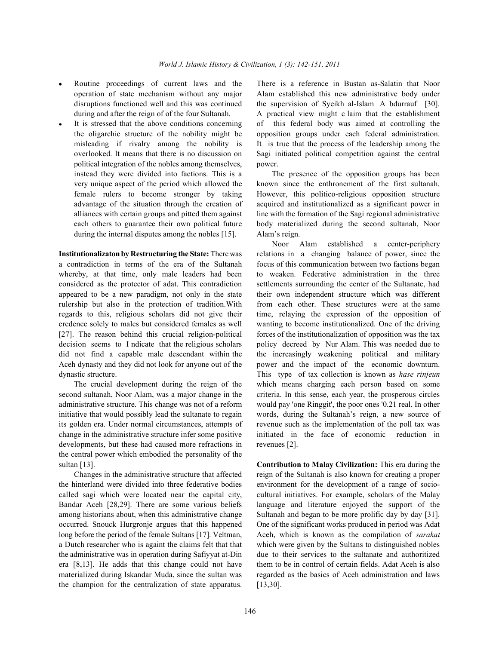- 
- political integration of the nobles among themselves, power. instead they were divided into factions. This is a The presence of the opposition groups has been during the internal disputes among the nobles [15]. Alam's reign.

a contradiction in terms of the era of the Sultanah focus of this communication between two factions began whereby, at that time, only male leaders had been to weaken. Federative administration in the three considered as the protector of adat. This contradiction settlements surrounding the center of the Sultanate, had appeared to be a new paradigm, not only in the state their own independent structure which was different rulership but also in the protection of tradition.With from each other. These structures were at the same regards to this, religious scholars did not give their time, relaying the expression of the opposition of credence solely to males but considered females as well wanting to become institutionalized. One of the driving [27]. The reason behind this crucial religion-political forces of the institutionalization of opposition was the tax decision seems to I ndicate that the religious scholars policy decreed by Nur Alam. This was needed due to did not find a capable male descendant within the the increasingly weakening political and military Aceh dynasty and they did not look for anyone out of the power and the impact of the economic downturn. dynastic structure. This type of tax collection is known as *hase rinjeun*

second sultanah, Noor Alam, was a major change in the criteria. In this sense, each year, the prosperous circles administrative structure. This change was not of a reform would pay 'one Ringgit', the poor ones '0.21 real. In other initiative that would possibly lead the sultanate to regain words, during the Sultanah's reign, a new source of its golden era. Under normal circumstances, attempts of revenue such as the implementation of the poll tax was change in the administrative structure infer some positive initiated in the face of economic reduction in developments, but these had caused more refractions in revenues [2]. the central power which embodied the personality of the sultan [13]. **Contribution to Malay Civilization:** This era during the

the champion for the centralization of state apparatus. [13,30].

Routine proceedings of current laws and the There is a reference in Bustan as-Salatin that Noor operation of state mechanism without any major Alam established this new administrative body under disruptions functioned well and this was continued the supervision of Syeikh al-Islam A bdurrauf [30]. during and after the reign of of the four Sultanah. A practical view might c laim that the establishment It is stressed that the above conditions concerning of this federal body was aimed at controlling the the oligarchic structure of the nobility might be opposition groups under each federal administration. misleading if rivalry among the nobility is It is true that the process of the leadership among the overlooked. It means that there is no discussion on Sagi initiated political competition against the central

very unique aspect of the period which allowed the known since the enthronement of the first sultanah. female rulers to become stronger by taking However, this politico-religious opposition structure advantage of the situation through the creation of acquired and institutionalized as a significant power in alliances with certain groups and pitted them against line with the formation of the Sagi regional administrative each others to guarantee their own political future body materialized during the second sultanah, Noor

**Institutionalizaton by Restructuring the State:** There was relations in a changing balance of power, since the The crucial development during the reign of the which means charging each person based on some Noor Alam established a center-periphery

Changes in the administrative structure that affected reign of the Sultanah is also known for creating a proper the hinterland were divided into three federative bodies environment for the development of a range of sociocalled sagi which were located near the capital city, cultural initiatives. For example, scholars of the Malay Bandar Aceh [28,29]. There are some various beliefs language and literature enjoyed the support of the among historians about, when this administrative change Sultanah and began to be more prolific day by day [31]. occurred. Snouck Hurgronje argues that this happened One of the significant works produced in period was Adat long before the period of the female Sultans [17]. Veltman, Aceh, which is known as the compilation of *sarakat* a Dutch researcher who is againt the claims felt that that which were given by the Sultans to distinguished nobles the administrative was in operation during Safiyyat at-Din due to their services to the sultanate and authoritized era [8,13]. He adds that this change could not have them to be in control of certain fields. Adat Aceh is also materialized during Iskandar Muda, since the sultan was regarded as the basics of Aceh administration and laws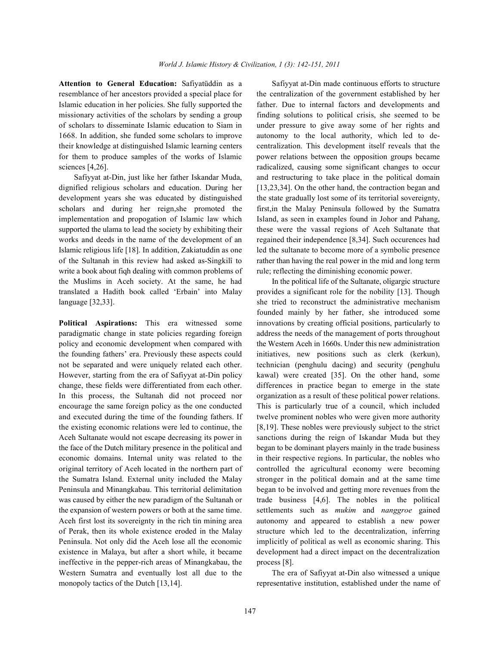write a book about figh dealing with common problems of rule; reflecting the diminishing economic power. the Muslims in Aceh society. At the same, he had In the political life of the Sultanate, oligargic structure translated a Hadith book called 'Erbain' into Malay provides a significant role for the nobility [13]. Though language [32,33]. she tried to reconstruct the administrative mechanism

paradigmatic change in state policies regarding foreign address the needs of the management of ports throughout policy and economic development when compared with the Western Aceh in 1660s. Under this new administration the founding fathers' era. Previously these aspects could initiatives, new positions such as clerk (kerkun), not be separated and were uniquely related each other. technician (penghulu dacing) and security (penghulu However, starting from the era of Safiyyat at-Din policy kawal) were created [35]. On the other hand, some change, these fields were differentiated from each other. differences in practice began to emerge in the state In this process, the Sultanah did not proceed nor organization as a result of these political power relations. encourage the same foreign policy as the one conducted This is particularly true of a council, which included and executed during the time of the founding fathers. If twelve prominent nobles who were given more authority the existing economic relations were led to continue, the [8,19]. These nobles were previously subject to the strict Aceh Sultanate would not escape decreasing its power in sanctions during the reign of Iskandar Muda but they the face of the Dutch military presence in the political and began to be dominant players mainly in the trade business economic domains. Internal unity was related to the in their respective regions. In particular, the nobles who original territory of Aceh located in the northern part of controlled the agricultural economy were becoming the Sumatra Island. External unity included the Malay stronger in the political domain and at the same time Peninsula and Minangkabau. This territorial delimitation began to be involved and getting more revenues from the was caused by either the new paradigm of the Sultanah or trade business [4,6]. The nobles in the political the expansion of western powers or both at the same time. settlements such as *mukim* and *nanggroe* gained Aceh first lost its sovereignty in the rich tin mining area autonomy and appeared to establish a new power of Perak, then its whole existence eroded in the Malay structure which led to the decentralization, inferring Peninsula. Not only did the Aceh lose all the economic implicitly of political as well as economic sharing. This existence in Malaya, but after a short while, it became development had a direct impact on the decentralization ineffective in the pepper-rich areas of Minangkabau, the process [8]. Western Sumatra and eventually lost all due to the The era of Safiyyat at-Din also witnessed a unique

**Attention to General Education:** Safiyatüddin as a Safiyyat at-Din made continuous efforts to structure resemblance of her ancestors provided a special place for the centralization of the government established by her Islamic education in her policies. She fully supported the father. Due to internal factors and developments and missionary activities of the scholars by sending a group finding solutions to political crisis, she seemed to be of scholars to disseminate Islamic education to Siam in under pressure to give away some of her rights and 1668. In addition, she funded some scholars to improve autonomy to the local authority, which led to detheir knowledge at distinguished Islamic learning centers centralization. This development itself reveals that the for them to produce samples of the works of Islamic power relations between the opposition groups became sciences [4,26]. radicalized, causing some significant changes to occur Safiyyat at-Din, just like her father Iskandar Muda, and restructuring to take place in the political domain dignified religious scholars and education. During her [13,23,34]. On the other hand, the contraction began and development years she was educated by distinguished the state gradually lost some of its territorial sovereignty, scholars and during her reign,she promoted the first,in the Malay Peninsula followed by the Sumatra implementation and propogation of Islamic law which Island, as seen in examples found in Johor and Pahang, supported the ulama to lead the society by exhibiting their these were the vassal regions of Aceh Sultanate that works and deeds in the name of the development of an regained their independence [8,34]. Such occurences had Islamic religious life [18]. In addition, Zakiatuddin as one led the sultanate to become more of a symbolic presence of the Sultanah in this review had asked as-Singkilî to rather than having the real power in the mid and long term

**Political Aspirations:** This era witnessed some innovations by creating official positions, particularly to founded mainly by her father, she introduced some

monopoly tactics of the Dutch [13,14]. representative institution, established under the name of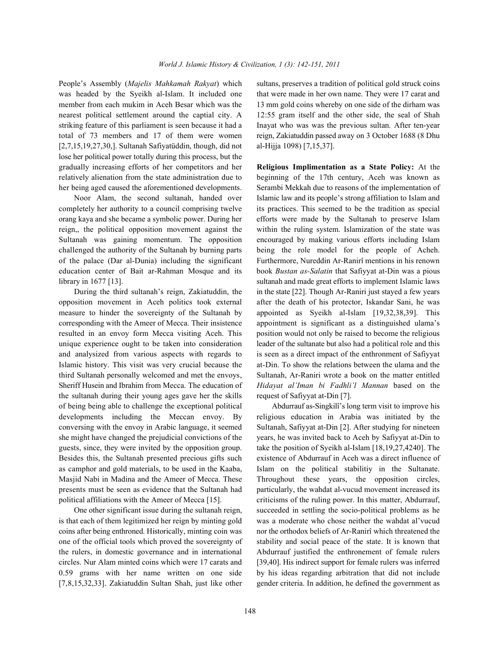People's Assembly (*Majelis Mahkamah Rakyat*) which sultans, preserves a tradition of political gold struck coins was headed by the Syeikh al-Islam. It included one that were made in her own name. They were 17 carat and member from each mukim in Aceh Besar which was the 13 mm gold coins whereby on one side of the dirham was nearest political settlement around the captial city. A 12:55 gram itself and the other side, the seal of Shah striking feature of this parliament is seen because it had a Inayat who was was the previous sultan. After ten-year total of 73 members and 17 of them were women reign, Zakiatuddin passed away on 3 October 1688 (8 Dhu [2,7,15,19,27,30,]. Sultanah Safiyatüddin, though, did not al-Hijja 1098) [7,15,37]. lose her political power totally during this process, but the gradually increasing efforts of her competitors and her **Religious Implimentation as a State Policy:** At the relatively alienation from the state administration due to beginning of the 17th century, Aceh was known as her being aged caused the aforementioned developments. Serambi Mekkah due to reasons of the implementation of

completely her authority to a council comprising twelve its practices. This seemed to be the tradition as special orang kaya and she became a symbolic power. During her efforts were made by the Sultanah to preserve Islam reign,, the political opposition movement against the within the ruling system. Islamization of the state was Sultanah was gaining momentum. The opposition encouraged by making various efforts including Islam challenged the authority of the Sultanah by burning parts being the role model for the people of Acheh. of the palace (Dar al-Dunia) including the significant Furthermore, Nureddin Ar-Ranirî mentions in his renown education center of Bait ar-Rahman Mosque and its book *Bustan as-Salatin* that Safiyyat at-Din was a pious library in 1677 [13]. sultanah and made great efforts to implement Islamic laws

opposition movement in Aceh politics took external after the death of his protector, Iskandar Sani, he was measure to hinder the sovereignty of the Sultanah by appointed as Syeikh al-Islam [19,32,38,39]. This corresponding with the Ameer of Mecca. Their insistence appointment is significant as a distinguished ulama's resulted in an envoy form Mecca visiting Aceh. This position would not only be raised to become the religious unique experience ought to be taken into consideration leader of the sultanate but also had a political role and this and analysized from various aspects with regards to is seen as a direct impact of the enthronment of Safiyyat Islamic history. This visit was very crucial because the at-Din. To show the relations between the ulama and the third Sultanah personally welcomed and met the envoys, Sultanah, Ar-Raniri wrote a book on the matter entitled Sheriff Husein and Ibrahim from Mecca. The education of *Hidayat al'Iman bi Fadhli'l Mannan* based on the the sultanah during their young ages gave her the skills request of Safiyyat at-Din [7]. of being being able to challenge the exceptional political Abdurrauf as-Singkilî's long term visit to improve his developments including the Meccan envoy. By religious education in Arabia was initiated by the conversing with the envoy in Arabic language, it seemed Sultanah, Safiyyat at-Din [2]. After studying for nineteen she might have changed the prejudicial convictions of the years, he was invited back to Aceh by Safiyyat at-Din to guests, since, they were invited by the opposition group. take the position of Syeikh al-Islam [18,19,27,4240]. The Besides this, the Sultanah presented precious gifts such existence of Abdurrauf in Aceh was a direct influence of as camphor and gold materials, to be used in the Kaaba, Islam on the political stabilitiy in the Sultanate. Masjid Nabi in Madina and the Ameer of Mecca. These Throughout these years, the opposition circles, presents must be seen as evidence that the Sultanah had particularly, the wahdat al-vucud movement increased its political affiliations with the Ameer of Mecca [15]. criticisms of the ruling power. In this matter, Abdurrauf,

is that each of them legitimized her reign by minting gold was a moderate who chose neither the wahdat al'vucud coins after being enthroned. Historically, minting coin was nor the orthodox beliefs of Ar-Ranirî which threatened the one of the official tools which proved the sovereignty of stability and social peace of the state. It is known that the rulers, in domestic governance and in international Abdurrauf justified the enthronement of female rulers circles. Nur Alam minted coins which were 17 carats and [39,40]. His indirect support for female rulers was inferred 0.59 grams with her name written on one side by his ideas regarding arbitration that did not include [7,8,15,32,33]. Zakiatuddin Sultan Shah, just like other gender criteria. In addition, he defined the government as

Noor Alam, the second sultanah, handed over Islamic law and its people's strong affiliation to Islam and During the third sultanah's reign, Zakiatuddin, the in the state [22]. Though Ar-Raniri just stayed a few years

One other significant issue during the sultanah reign, succeeded in settling the socio-political problems as he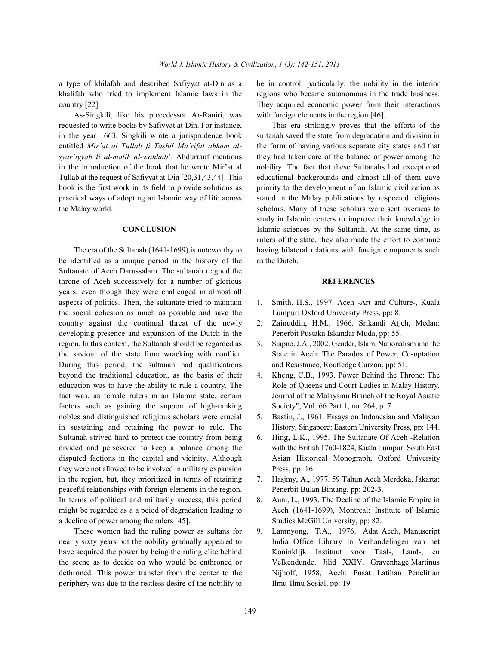khalifah who tried to implement Islamic laws in the regions who became autonomous in the trade business. country [22]. They acquired economic power from their interactions

As-Singkilî, like his precedessor Ar-Ranirî, was with foreign elements in the region [46]. requested to write books by Safiyyat at-Din. For instance, This era strikingly proves that the efforts of the in the year 1663, Singkili wrote a jurisprudence book sultanah saved the state from degradation and division in entitled *Mir'at al Tullab fi Tashil Ma'rifat ahkam al-* the form of having various separate city states and that *syar'iyyah li al-malik al-wahhab*'. Abdurrauf mentions they had taken care of the balance of power among the in the introduction of the book that he wrote Mir'at al nobility. The fact that these Sultanahs had exceptional Tullab at the request of Safiyyat at-Din [20,31,43,44]. This educational backgrounds and almost all of them gave book is the first work in its field to provide solutions as priority to the development of an Islamic civilization as practical ways of adopting an Islamic way of life across stated in the Malay publications by respected religious the Malay world. scholars. Many of these scholars were sent overseas to

be identified as a unique period in the history of the as the Dutch. Sultanate of Aceh Darussalam. The sultanah reigned the throne of Aceh successively for a number of glorious **REFERENCES** years, even though they were challenged in almost all aspects of politics. Then, the sultanate tried to maintain 1. Smith. H.S., 1997. Aceh -Art and Culture-, Kuala the social cohesion as much as possible and save the Lumpur: Oxford University Press, pp: 8. country against the continual threat of the newly 2. Zainuddin, H.M., 1966. Srikandi Atjeh, Medan: developing presence and expansion of the Dutch in the Penerbit Pustaka Iskandar Muda, pp: 55. region. In this context, the Sultanah should be regarded as 3. Siapno, J.A., 2002. Gender, Islam, Nationalism and the During this period, the sultanah had qualifications and Resistance, Routledge Curzon, pp: 51. beyond the traditional education, as the basis of their 4. Kheng, C.B., 1993. Power Behind the Throne: The education was to have the ability to rule a country. The Role of Queens and Court Ladies in Malay History. fact was, as female rulers in an Islamic state, certain Journal of the Malaysian Branch of the Royal Asiatic factors such as gaining the support of high-ranking Society", Vol. 66 Part 1, no. 264, p. 7. nobles and distinguished religious scholars were crucial 5. Bastin, J., 1961. Essays on Indonesian and Malayan in sustaining and retaining the power to rule. The History, Singapore: Eastern University Press, pp: 144. Sultanah strived hard to protect the country from being 6. Hing, L.K., 1995. The Sultanate Of Aceh -Relation divided and persevered to keep a balance among the with the British 1760-1824, Kuala Lumpur: South East disputed factions in the capital and vicinity. Although Asian Historical Monograph, Oxford University they were not allowed to be involved in military expansion Press, pp: 16. in the region, but, they prioritized in terms of retaining 7. Hasjmy, A., 1977. 59 Tahun Aceh Merdeka, Jakarta: peaceful relationships with foreign elements in the region. Penerbit Bulan Bintang, pp: 202-3. In terms of political and militarily success, this period 8. Auni, L., 1993. The Decline of the Islamic Empire in might be regarded as a a peiod of degradation leading to Aceh (1641-1699), Montreal: Institute of Islamic a decline of power among the rulers [45]. Studies McGill University, pp: 82.

periphery was due to the restless desire of the nobility to Ilmu-Ilmu Sosial, pp: 19.

a type of khilafah and described Safiyyat at-Din as a be in control, particularly, the nobility in the interior

**CONCLUSION** Islamic sciences by the Sultanah. At the same time, as The era of the Sultanah (1641-1699) is noteworthy to having bilateral relations with foreign components such study in Islamic centers to improve their knowledge in rulers of the state, they also made the effort to continue

- 
- 
- the saviour of the state from wracking with conflict. State in Aceh: The Paradox of Power, Co-optation
	-
	-
	-
	-
	-
- These women had the ruling power as sultans for 9. Lamnyong, T.A., 1976. Adat Aceh, Manuscript nearly sixty years but the nobility gradually appeared to India Office Library in Verhandelingen van het have acquired the power by being the ruling elite behind Koninklijk Instituut voor Taal-, Land-, en the scene as to decide on who would be enthroned or Velkendunde. Jilid XXIV, Gravenhage:Martinus dethroned. This power transfer from the center to the Nijhoff, 1958, Aceh: Pusat Latihan Penelitian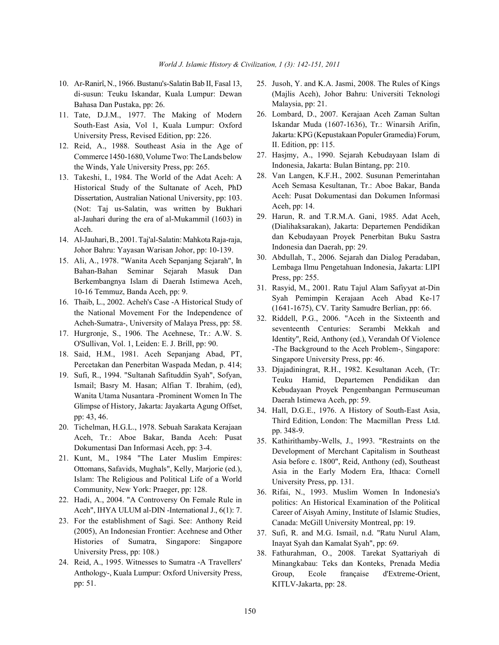- di-susun: Teuku Iskandar, Kuala Lumpur: Dewan Bahasa Dan Pustaka, pp: 26.
- 11. Tate, D.J.M., 1977. The Making of Modern South-East Asia, Vol 1, Kuala Lumpur: Oxford University Press, Revised Edition, pp: 226.
- 12. Reid, A., 1988. Southeast Asia in the Age of Commerce 1450-1680, Volume Two: The Lands below the Winds, Yale University Press, pp: 265.
- 13. Takeshi, I., 1984. The World of the Adat Aceh: A Historical Study of the Sultanate of Aceh, PhD Dissertation, Australian National University, pp: 103. (Not: Taj us-Salatin, was written by Bukhari al-Jauhari during the era of al-Mukammil (1603) in Aceh.
- 14. Al-Jauhari,B., 2001. Taj'al-Salatin: Mahkota Raja-raja, Johor Bahru: Yayasan Warisan Johor, pp: 10-139.
- 15. Ali, A., 1978. "Wanita Aceh Sepanjang Sejarah", In Bahan-Bahan Seminar Sejarah Masuk Dan Berkembangnya Islam di Daerah Istimewa Aceh, 10-16 Temmuz, Banda Aceh, pp: 9.
- 16. Thaib, L., 2002. Acheh's Case -A Historical Study of the National Movement For the Independence of Acheh-Sumatra-, University of Malaya Press, pp: 58.
- 17. Hurgronje, S., 1906. The Acehnese, Tr.: A.W. S. O'Sullivan, Vol. 1, Leiden: E. J. Brill, pp: 90.
- 18. Said, H.M., 1981. Aceh Sepanjang Abad, PT, Percetakan dan Penerbitan Waspada Medan, p. 414;
- 19. Sufi, R., 1994. "Sultanah Safituddin Syah", Sofyan, Ismail; Basry M. Hasan; Alfian T. Ibrahim, (ed), Wanita Utama Nusantara -Prominent Women In The Glimpse of History, Jakarta: Jayakarta Agung Offset, pp: 43, 46.
- 20. Tichelman, H.G.L., 1978. Sebuah Sarakata Kerajaan Aceh, Tr.: Aboe Bakar, Banda Aceh: Pusat Dokumentasi Dan Informasi Aceh, pp: 3-4.
- 21. Kunt, M., 1984 "The Later Muslim Empires: Ottomans, Safavids, Mughals", Kelly, Marjorie (ed.), Islam: The Religious and Political Life of a World Community, New York: Praeger, pp: 128.
- 22. Hadi, A., 2004. "A Controversy On Female Rule in Aceh", IHYA ULUM al-DIN -International J., 6(1): 7.
- 23. For the establishment of Sagi. See: Anthony Reid (2005), An Indonesian Frontier: Acehnese and Other Histories of Sumatra, Singapore: Singapore University Press, pp: 108.)
- 24. Reid, A., 1995. Witnesses to Sumatra -A Travellers' Anthology-, Kuala Lumpur: Oxford University Press, pp: 51.
- 10. Ar-Ranirî, N., 1966. Bustanu's-Salatin Bab II, Fasal 13, 25. Jusoh, Y. and K.A. Jasmi, 2008. The Rules of Kings (Majlis Aceh), Johor Bahru: Universiti Teknologi Malaysia, pp: 21.
	- 26. Lombard, D., 2007. Kerajaan Aceh Zaman Sultan Iskandar Muda (1607-1636), Tr.: Winarsih Arifin, Jakarta: KPG (Kepustakaan Populer Gramedia) Forum, II. Edition, pp: 115.
	- 27. Hasjmy, A., 1990. Sejarah Kebudayaan Islam di Indonesia, Jakarta: Bulan Bintang, pp: 210.
	- 28. Van Langen, K.F.H., 2002. Susunan Pemerintahan Aceh Semasa Kesultanan, Tr.: Aboe Bakar, Banda Aceh: Pusat Dokumentasi dan Dokumen Informasi Aceh, pp: 14.
	- 29. Harun, R. and T.R.M.A. Gani, 1985. Adat Aceh, (Dialihaksarakan), Jakarta: Departemen Pendidikan dan Kebudayaan Proyek Penerbitan Buku Sastra Indonesia dan Daerah, pp: 29.
	- 30. Abdullah, T., 2006. Sejarah dan Dialog Peradaban, Lembaga Ilmu Pengetahuan Indonesia, Jakarta: LIPI Press, pp: 255.
	- 31. Rasyid, M., 2001. Ratu Tajul Alam Safiyyat at-Din Syah Pemimpin Kerajaan Aceh Abad Ke-17 (1641-1675), CV. Tarity Samudre Berlian, pp: 66.
	- 32. Riddell, P.G., 2006. "Aceh in the Sixteenth and seventeenth Centuries: Serambi Mekkah and Identity", Reid, Anthony (ed.), Verandah Of Violence -The Background to the Aceh Problem-, Singapore: Singapore University Press, pp: 46.
	- 33. Djajadiningrat, R.H., 1982. Kesultanan Aceh, (Tr: Teuku Hamid, Departemen Pendidikan dan Kebudayaan Proyek Pengembangan Permuseuman Daerah Istimewa Aceh, pp: 59.
	- 34. Hall, D.G.E., 1976. A History of South-East Asia, Third Edition, London: The Macmillan Press Ltd. pp. 348-9.
	- 35. Kathirithamby-Wells, J., 1993. "Restraints on the Development of Merchant Capitalism in Southeast Asia before c. 1800", Reid, Anthony (ed), Southeast Asia in the Early Modern Era, Ithaca: Cornell University Press, pp. 131.
	- 36. Rifai, N., 1993. Muslim Women In Indonesia's politics: An Historical Examination of the Political Career of Aisyah Aminy, Institute of Islamic Studies, Canada: McGill University Montreal, pp: 19.
	- 37. Sufi, R. and M.G. Ismail, n.d. "Ratu Nurul Alam, Inayat Syah dan Kamalat Syah", pp: 69.
	- 38. Fathurahman, O., 2008. Tarekat Syattariyah di Minangkabau: Teks dan Konteks, Prenada Media Group, Ecole française d'Extreme-Orient, KITLV-Jakarta, pp: 28.